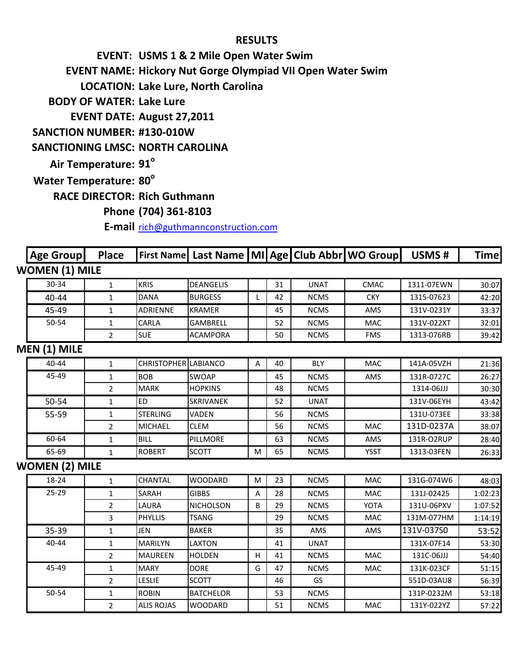## **RESULTS**

**EVENT: USMS 1 & 2 Mile Open Water Swim EVENT NAME: Hickory Nut Gorge Olympiad VII Open Water Swim**

**LOCATION: Lake Lure, North Carolina**

**BODY OF WATER: Lake Lure**

**EVENT DATE: August 27,2011**

**SANCTION NUMBER: #130-010W**

## **SANCTIONING LMSC: NORTH CAROLINA**

**Air Temperature: 91°** 

**Water Temperature: 80°** 

45-49

50-54

**RACE DIRECTOR: Rich Guthmann**

## **Phone (704) 361-8103**

**E-mail** [rich@guthmannconstruction.com](mailto:rich@guthmannconstruction.com)

| Age Group             | <b>Place</b>   |                             | First Name Last Name MI Age Club Abbr WO Group |   |    |             |             | USMS#      | <b>Time</b> |
|-----------------------|----------------|-----------------------------|------------------------------------------------|---|----|-------------|-------------|------------|-------------|
| <b>WOMEN (1) MILE</b> |                |                             |                                                |   |    |             |             |            |             |
| 30-34                 | $\mathbf{1}$   | <b>KRIS</b>                 | <b>DEANGELIS</b>                               |   | 31 | <b>UNAT</b> | <b>CMAC</b> | 1311-07EWN | 30:07       |
| 40-44                 | $\mathbf{1}$   | <b>DANA</b>                 | <b>BURGESS</b>                                 | L | 42 | <b>NCMS</b> | <b>CKY</b>  | 1315-07623 | 42:20       |
| 45-49                 | $\mathbf{1}$   | <b>ADRIENNE</b>             | <b>KRAMER</b>                                  |   | 45 | <b>NCMS</b> | AMS         | 131V-0231Y | 33:37       |
| 50-54                 | $\mathbf{1}$   | CARLA                       | <b>GAMBRELL</b>                                |   | 52 | <b>NCMS</b> | <b>MAC</b>  | 131V-022XT | 32:01       |
|                       | $\overline{2}$ | <b>SUE</b>                  | <b>ACAMPORA</b>                                |   | 50 | <b>NCMS</b> | <b>FMS</b>  | 1313-076RB | 39:42       |
| MEN (1) MILE          |                |                             |                                                |   |    |             |             |            |             |
| $40 - 44$             | $\mathbf{1}$   | <b>CHRISTOPHER LABIANCO</b> |                                                | Α | 40 | <b>BLY</b>  | <b>MAC</b>  | 141A-05VZH | 21:36       |
| 45-49                 | $\mathbf{1}$   | <b>BOB</b>                  | <b>SWOAP</b>                                   |   | 45 | <b>NCMS</b> | AMS         | 131R-0727C | 26:27       |
|                       | $\overline{2}$ | <b>MARK</b>                 | <b>HOPKINS</b>                                 |   | 48 | <b>NCMS</b> |             | 1314-06JJJ | 30:30       |
| 50-54                 | $\mathbf{1}$   | ED                          | <b>SKRIVANEK</b>                               |   | 52 | <b>UNAT</b> |             | 131V-06EYH | 43:42       |
| 55-59                 | 1              | <b>STERLING</b>             | <b>VADEN</b>                                   |   | 56 | <b>NCMS</b> |             | 131U-073EE | 33:38       |
|                       | $\overline{2}$ | <b>MICHAEL</b>              | <b>CLEM</b>                                    |   | 56 | <b>NCMS</b> | <b>MAC</b>  | 131D-0237A | 38:07       |
| 60-64                 | 1              | <b>BILL</b>                 | PILLMORE                                       |   | 63 | <b>NCMS</b> | AMS         | 131R-O2RUP | 28:40       |
| 65-69                 | $\mathbf{1}$   | <b>ROBERT</b>               | <b>SCOTT</b>                                   | М | 65 | <b>NCMS</b> | <b>YSST</b> | 1313-03FEN | 26:33       |
| <b>WOMEN (2) MILE</b> |                |                             |                                                |   |    |             |             |            |             |
| 18-24                 | $\mathbf{1}$   | <b>CHANTAL</b>              | <b>WOODARD</b>                                 | M | 23 | <b>NCMS</b> | <b>MAC</b>  | 131G-074W6 | 48:03       |
| 25-29                 | $\mathbf{1}$   | SARAH                       | <b>GIBBS</b>                                   | Α | 28 | <b>NCMS</b> | <b>MAC</b>  | 131J-02425 | 1:02:23     |
|                       | $\overline{2}$ | <b>LAURA</b>                | <b>NICHOLSON</b>                               | B | 29 | <b>NCMS</b> | <b>YOTA</b> | 131U-06PXV | 1:07:52     |
|                       | 3              | <b>PHYLLIS</b>              | <b>TSANG</b>                                   |   | 29 | <b>NCMS</b> | MAC         | 131M-077HM | 1:14:19     |
| 35-39                 | $\mathbf{1}$   | JEN                         | <b>BAKER</b>                                   |   | 35 | AMS         | AMS         | 131V-037S0 | 53:52       |
| 40-44                 | 1              | <b>MARILYN</b>              | <b>LAXTON</b>                                  |   | 41 | <b>UNAT</b> |             | 131X-07F14 | 53:30       |

1 | MARILYN | LAXTON | | 41 | UNAT | | 131X-07F14 | 53:30 2 |MAUREEN |HOLDEN | H | 41 | NCMS | MAC | 131C-06JJJ | 54:40 1 | MARY | DORE | G | 47 | NCMS | MAC | 131K-023CF | 51:15 2 |LESLIE |SCOTT | | 46 | GS | | 551D-03AU8 | 56:39 1 **ROBIN** BATCHELOR 1 53 NCMS 131P-0232M 53:18 2 ALIS ROJAS WOODARD | 51 | NCMS | MAC | 131Y-022YZ | 57:22